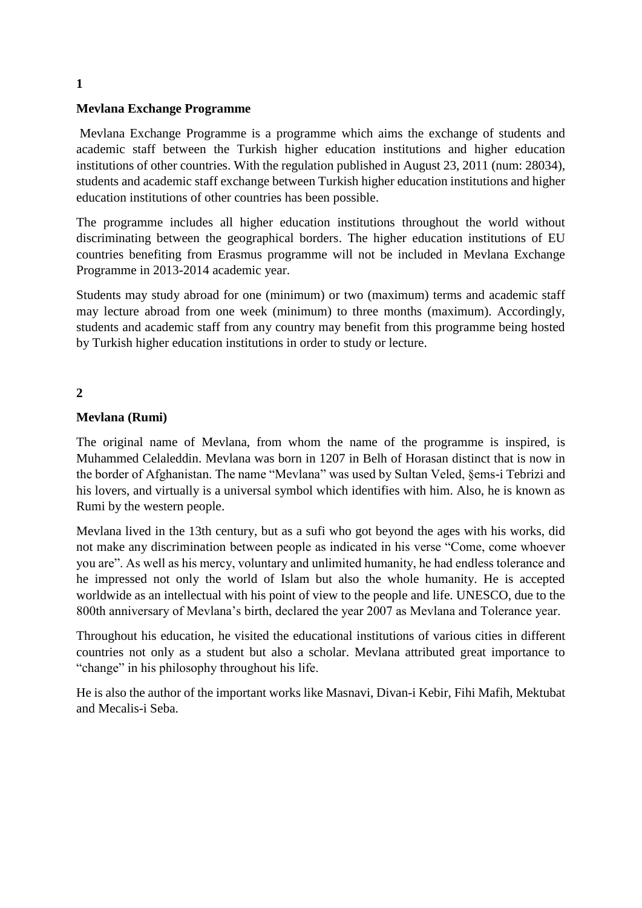# **Mevlana Exchange Programme**

Mevlana Exchange Programme is a programme which aims the exchange of students and academic staff between the Turkish higher education institutions and higher education institutions of other countries. With the regulation published in August 23, 2011 (num: 28034), students and academic staff exchange between Turkish higher education institutions and higher education institutions of other countries has been possible.

The programme includes all higher education institutions throughout the world without discriminating between the geographical borders. The higher education institutions of EU countries benefiting from Erasmus programme will not be included in Mevlana Exchange Programme in 2013-2014 academic year.

Students may study abroad for one (minimum) or two (maximum) terms and academic staff may lecture abroad from one week (minimum) to three months (maximum). Accordingly, students and academic staff from any country may benefit from this programme being hosted by Turkish higher education institutions in order to study or lecture.

# **2**

## **Mevlana (Rumi)**

The original name of Mevlana, from whom the name of the programme is inspired, is Muhammed Celaleddin. Mevlana was born in 1207 in Belh of Horasan distinct that is now in the border of Afghanistan. The name "Mevlana" was used by Sultan Veled, §ems-i Tebrizi and his lovers, and virtually is a universal symbol which identifies with him. Also, he is known as Rumi by the western people.

Mevlana lived in the 13th century, but as a sufi who got beyond the ages with his works, did not make any discrimination between people as indicated in his verse "Come, come whoever you are". As well as his mercy, voluntary and unlimited humanity, he had endless tolerance and he impressed not only the world of Islam but also the whole humanity. He is accepted worldwide as an intellectual with his point of view to the people and life. UNESCO, due to the 800th anniversary of Mevlana's birth, declared the year 2007 as Mevlana and Tolerance year.

Throughout his education, he visited the educational institutions of various cities in different countries not only as a student but also a scholar. Mevlana attributed great importance to "change" in his philosophy throughout his life.

He is also the author of the important works like Masnavi, Divan-i Kebir, Fihi Mafih, Mektubat and Mecalis-i Seba.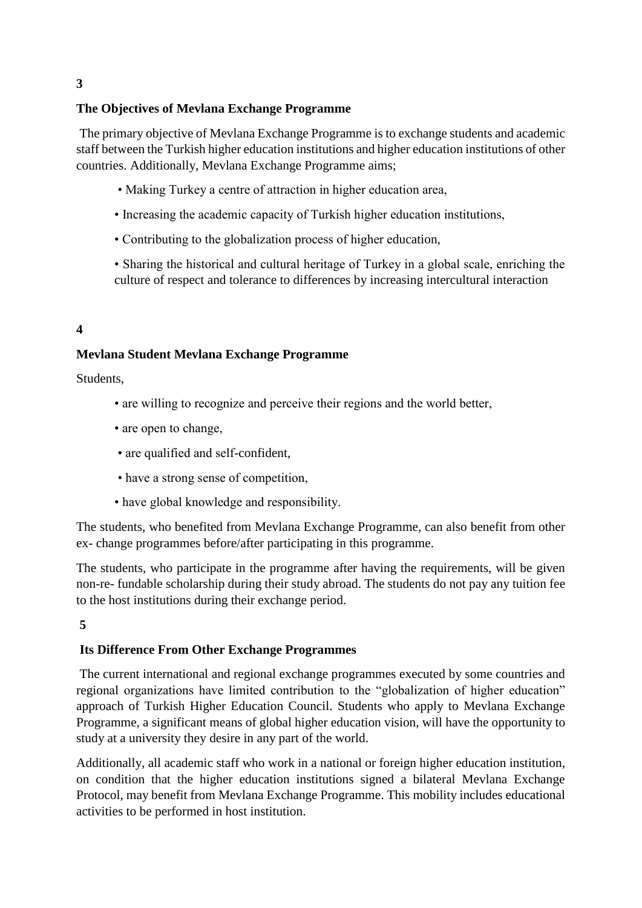# **The Objectives of Mevlana Exchange Programme**

The primary objective of Mevlana Exchange Programme is to exchange students and academic staff between the Turkish higher education institutions and higher education institutions of other countries. Additionally, Mevlana Exchange Programme aims;

- Making Turkey a centre of attraction in higher education area,
- Increasing the academic capacity of Turkish higher education institutions,
- Contributing to the globalization process of higher education,
- Sharing the historical and cultural heritage of Turkey in a global scale, enriching the culture of respect and tolerance to differences by increasing intercultural interaction

## **4**

## **Mevlana Student Mevlana Exchange Programme**

Students,

- are willing to recognize and perceive their regions and the world better,
- are open to change,
- are qualified and self-confident,
- have a strong sense of competition,
- have global knowledge and responsibility.

The students, who benefited from Mevlana Exchange Programme, can also benefit from other ex- change programmes before/after participating in this programme.

The students, who participate in the programme after having the requirements, will be given non-re- fundable scholarship during their study abroad. The students do not pay any tuition fee to the host institutions during their exchange period.

### **5**

### **Its Difference From Other Exchange Programmes**

The current international and regional exchange programmes executed by some countries and regional organizations have limited contribution to the "globalization of higher education" approach of Turkish Higher Education Council. Students who apply to Mevlana Exchange Programme, a significant means of global higher education vision, will have the opportunity to study at a university they desire in any part of the world.

Additionally, all academic staff who work in a national or foreign higher education institution, on condition that the higher education institutions signed a bilateral Mevlana Exchange Protocol, may benefit from Mevlana Exchange Programme. This mobility includes educational activities to be performed in host institution.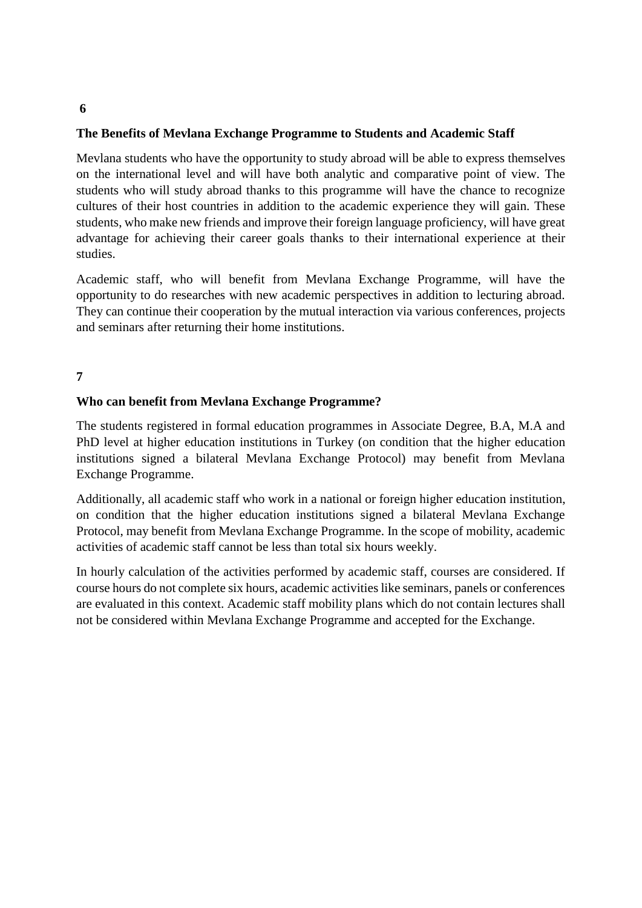### **The Benefits of Mevlana Exchange Programme to Students and Academic Staff**

Mevlana students who have the opportunity to study abroad will be able to express themselves on the international level and will have both analytic and comparative point of view. The students who will study abroad thanks to this programme will have the chance to recognize cultures of their host countries in addition to the academic experience they will gain. These students, who make new friends and improve their foreign language proficiency, will have great advantage for achieving their career goals thanks to their international experience at their studies.

Academic staff, who will benefit from Mevlana Exchange Programme, will have the opportunity to do researches with new academic perspectives in addition to lecturing abroad. They can continue their cooperation by the mutual interaction via various conferences, projects and seminars after returning their home institutions.

### **7**

### **Who can benefit from Mevlana Exchange Programme?**

The students registered in formal education programmes in Associate Degree, B.A, M.A and PhD level at higher education institutions in Turkey (on condition that the higher education institutions signed a bilateral Mevlana Exchange Protocol) may benefit from Mevlana Exchange Programme.

Additionally, all academic staff who work in a national or foreign higher education institution, on condition that the higher education institutions signed a bilateral Mevlana Exchange Protocol, may benefit from Mevlana Exchange Programme. In the scope of mobility, academic activities of academic staff cannot be less than total six hours weekly.

In hourly calculation of the activities performed by academic staff, courses are considered. If course hours do not complete six hours, academic activities like seminars, panels or conferences are evaluated in this context. Academic staff mobility plans which do not contain lectures shall not be considered within Mevlana Exchange Programme and accepted for the Exchange.

#### **6**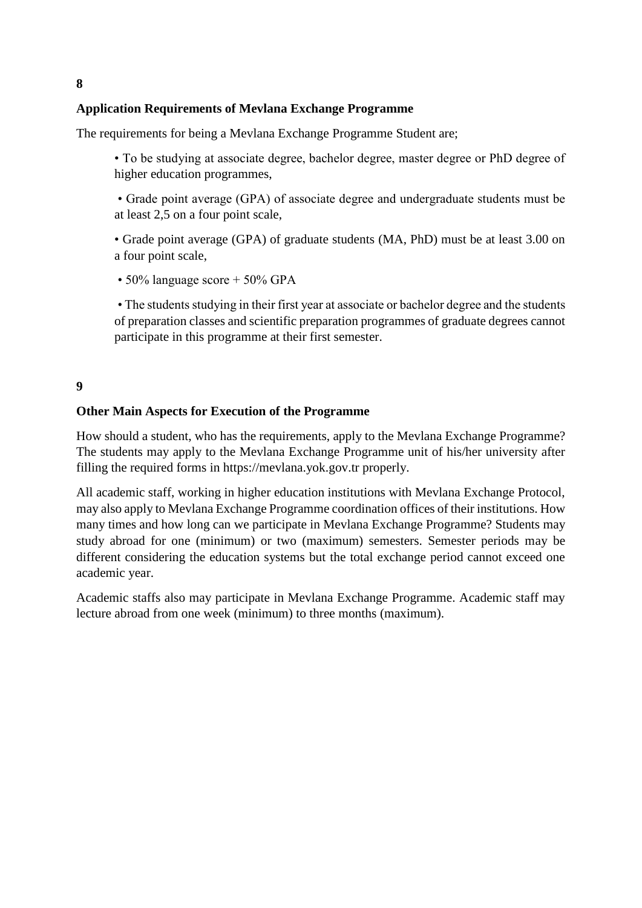# **Application Requirements of Mevlana Exchange Programme**

The requirements for being a Mevlana Exchange Programme Student are;

• To be studying at associate degree, bachelor degree, master degree or PhD degree of higher education programmes,

• Grade point average (GPA) of associate degree and undergraduate students must be at least 2,5 on a four point scale,

• Grade point average (GPA) of graduate students (MA, PhD) must be at least 3.00 on a four point scale,

• 50% language score + 50% GPA

• The students studying in their first year at associate or bachelor degree and the students of preparation classes and scientific preparation programmes of graduate degrees cannot participate in this programme at their first semester.

## **9**

### **Other Main Aspects for Execution of the Programme**

How should a student, who has the requirements, apply to the Mevlana Exchange Programme? The students may apply to the Mevlana Exchange Programme unit of his/her university after filling the required forms in https://mevlana.yok.gov.tr properly.

All academic staff, working in higher education institutions with Mevlana Exchange Protocol, may also apply to Mevlana Exchange Programme coordination offices of their institutions. How many times and how long can we participate in Mevlana Exchange Programme? Students may study abroad for one (minimum) or two (maximum) semesters. Semester periods may be different considering the education systems but the total exchange period cannot exceed one academic year.

Academic staffs also may participate in Mevlana Exchange Programme. Academic staff may lecture abroad from one week (minimum) to three months (maximum).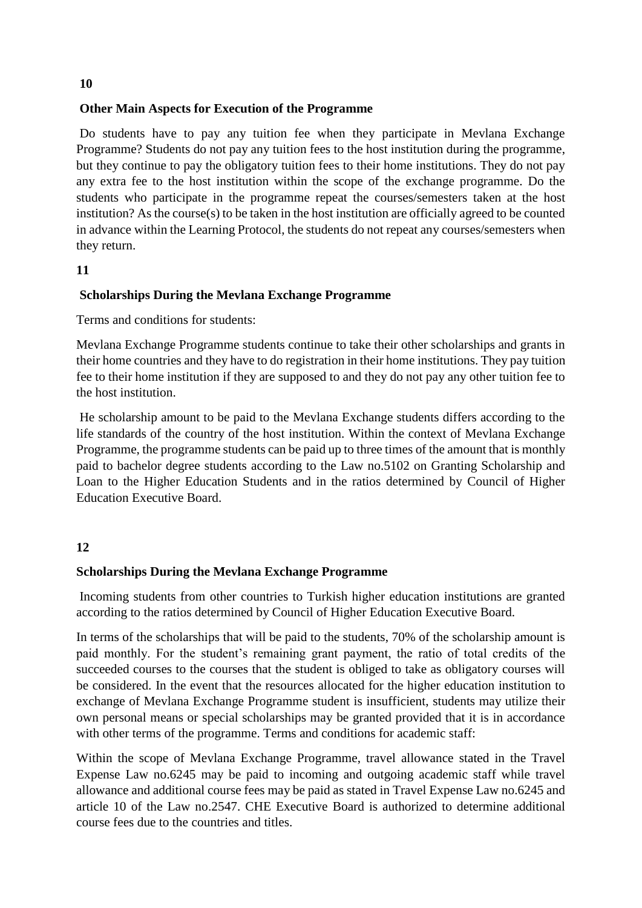# **Other Main Aspects for Execution of the Programme**

Do students have to pay any tuition fee when they participate in Mevlana Exchange Programme? Students do not pay any tuition fees to the host institution during the programme, but they continue to pay the obligatory tuition fees to their home institutions. They do not pay any extra fee to the host institution within the scope of the exchange programme. Do the students who participate in the programme repeat the courses/semesters taken at the host institution? As the course(s) to be taken in the host institution are officially agreed to be counted in advance within the Learning Protocol, the students do not repeat any courses/semesters when they return.

## **11**

# **Scholarships During the Mevlana Exchange Programme**

Terms and conditions for students:

Mevlana Exchange Programme students continue to take their other scholarships and grants in their home countries and they have to do registration in their home institutions. They pay tuition fee to their home institution if they are supposed to and they do not pay any other tuition fee to the host institution.

He scholarship amount to be paid to the Mevlana Exchange students differs according to the life standards of the country of the host institution. Within the context of Mevlana Exchange Programme, the programme students can be paid up to three times of the amount that is monthly paid to bachelor degree students according to the Law no.5102 on Granting Scholarship and Loan to the Higher Education Students and in the ratios determined by Council of Higher Education Executive Board.

## **12**

## **Scholarships During the Mevlana Exchange Programme**

Incoming students from other countries to Turkish higher education institutions are granted according to the ratios determined by Council of Higher Education Executive Board.

In terms of the scholarships that will be paid to the students, 70% of the scholarship amount is paid monthly. For the student's remaining grant payment, the ratio of total credits of the succeeded courses to the courses that the student is obliged to take as obligatory courses will be considered. In the event that the resources allocated for the higher education institution to exchange of Mevlana Exchange Programme student is insufficient, students may utilize their own personal means or special scholarships may be granted provided that it is in accordance with other terms of the programme. Terms and conditions for academic staff:

Within the scope of Mevlana Exchange Programme, travel allowance stated in the Travel Expense Law no.6245 may be paid to incoming and outgoing academic staff while travel allowance and additional course fees may be paid as stated in Travel Expense Law no.6245 and article 10 of the Law no.2547. CHE Executive Board is authorized to determine additional course fees due to the countries and titles.

**10**